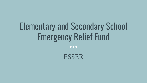# Elementary and Secondary School Emergency Relief Fund

 $\bullet\bullet\bullet$ 

ESSER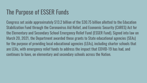## The Purpose of ESSER Funds

Congress set aside approximately \$13.2 billion of the \$30.75 billion allotted to the Education Stabilization Fund through the Coronavirus Aid Relief, and Economic Security (CARES) Act for the Elementary and Secondary School Emergency Relief Fund (ESSER Fund). Signed into law on March 20, 2021, the Department awarded these grants to State educational agencies (SEAs) for the purpose of providing local educational agencies (LEAs), including charter schools that are LEAs, with emergency relief funds to address the impact that COVID-19 has had, and continues to have, on elementary and secondary schools across the Nation.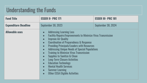#### Understanding the Funds

| <b>Fund Title</b>           | <b>ESSER II- PRC 171</b>                                                                                                                                                                                                                                                                                                                                                                                                                                                                                                                                                                                                                                                                                           | <b>ESSER III- PRC 181</b> |
|-----------------------------|--------------------------------------------------------------------------------------------------------------------------------------------------------------------------------------------------------------------------------------------------------------------------------------------------------------------------------------------------------------------------------------------------------------------------------------------------------------------------------------------------------------------------------------------------------------------------------------------------------------------------------------------------------------------------------------------------------------------|---------------------------|
| <b>Expenditure Deadline</b> | <b>September 30, 2023</b>                                                                                                                                                                                                                                                                                                                                                                                                                                                                                                                                                                                                                                                                                          | September 30, 2024        |
| <b>Allowable uses</b>       | <b>Addressing Learning Loss</b><br><b>Facility Repairs/Improvements to Minimize Virus Transmission</b><br>$\bullet$<br><b>Improve Air Quality</b><br>$\bullet$<br><b>Coordination of Preparedness &amp; Response</b><br>$\bullet$<br><b>Providing Principals/Leaders with Resources</b><br>$\bullet$<br><b>Addressing Unique Needs of Special Populations</b><br>$\bullet$<br><b>Training to Minimize Virus Transmission</b><br><b>Supplies to Sanitize &amp; Clean</b><br><b>Long-Term Closure Activities</b><br>$\bullet$<br><b>Education Technology</b><br>$\bullet$<br><b>Mental Health Services</b><br>$\bullet$<br><b>Summer Learning</b><br>$\bullet$<br><b>Other ESSA Eligible Activities</b><br>$\bullet$ |                           |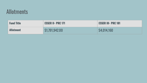#### Allotments

| <b>Fund Title</b> | <b>ESSER II- PRC 171</b> | <b>ESSER III- PRC 181</b> |
|-------------------|--------------------------|---------------------------|
| <b>Allotment</b>  | \$1,791,942.00           | S4,014,160                |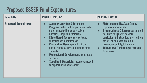### Proposed ESSER Fund Expenditures

| <b>Fund Title</b>            | <b>ESSER II- PRC 171</b>                                                                                                                                                                                                                                                                                                                                                                                                                                                                                                                  | <b>ESSER III- PRC 181</b>                                                                                                                                                                                                                                                                                                                                        |
|------------------------------|-------------------------------------------------------------------------------------------------------------------------------------------------------------------------------------------------------------------------------------------------------------------------------------------------------------------------------------------------------------------------------------------------------------------------------------------------------------------------------------------------------------------------------------------|------------------------------------------------------------------------------------------------------------------------------------------------------------------------------------------------------------------------------------------------------------------------------------------------------------------------------------------------------------------|
| <b>Proposed Expenditures</b> | <b>Summer Learning &amp; Extension</b><br><b>Program:</b> salaries, transportation costs,<br>state-mandated bonus pay, school<br>nutrition, supplies & materials<br><b>Educational Technology: software</b><br>subscriptions, chromebooks<br><b>Curriculum Development: district</b><br>$\bullet$<br>pacing guides & curriculum maps, staff<br>stipends<br><b>Professional Development: contracted</b><br>$\bullet$<br><b>services</b><br><b>Supplies &amp; Materials: resources needed</b><br>$\bullet$<br>to support principals/leaders | <b>Maintenance: HVAC/Air Quality</b><br>$\bullet$<br>repairs/improvements<br><b>Preparedness &amp; Response: salaried</b><br>$\bullet$<br>positions designated to address<br>curriculum & instruction, interventions<br>for at-risk students, drop-out<br>prevention, and digital learning<br><b>Educational Technology: hardware</b><br>$\bullet$<br>& software |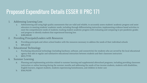#### Proposed Expenditure Details ESSER II PRC 171

- 1. Addressing Learning Loss
	- a. Administering and using high-quality assessments that are valid and reliable, to accurately assess students' academic progress and assist educators in meeting students' academic needs, including through differentiating instruction; implementing evidence-based activities to meet the comprehensive needs of students; tracking student academic progress with evaluating and comparing to pre-pandemic grades and progress to identify students that experienced learning loss
	- b. \$280,000.00
- 2. Providing Principals/Leaders with Resources
	- a. Providing principals and others school leaders with the resources necessary to address the needs of their individual schools
	- b. \$89,222.10
- 3. Educational Technology
	- a. Purchasing educational technology (including hardware, software, and connectivity) for students who are served by the local educational agency that aids in regular and substantive educational interaction between students and their classroom instructors
	- b. \$855,777.90
- 4. Summer Learning
	- a. Planning and implementing activities related to summer learning and supplemental afterschool programs, including providing classroom instruction or online learning during the summer months and addressing the needs of low-income students, students with disabilities, English learners, migrant students, students experiencing homelessness, and children in foster care
	- b. \$566,942.00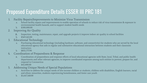#### Proposed Expenditure Details ESSER III PRC 181

- 1. Facility Repairs/Improvements to Minimize Virus Transmission
	- a. School facility repairs and improvements to enable operation of schools to reduce risk of virus transmission & exposure to environmental health hazards, and to support student health needs
	- b. \$300,000.00
- 2. Improving Air Quality
	- a. Inspection, testing, maintenance, repair, and upgrade projects ti improve indoor air quality in school facilities
	- b. \$569,265.00
- 3. Educational Technology
	- a. Purchasing educational technology (including hardware, software, and connectivity) for students who are served by the local educational agency that aids in regular and substantive educational interaction between students and their classroom instructors
	- b. \$855,777.90
- 4. Coordination of Preparedness & Response
	- a. Coordination of preparedness and response efforts of local educational agencies with State, local, Tribal, and public health departments and other relevant agencies, to improve coordinated responses among such entities to prevent, prepare for, and respond to Coronavirus
	- b. \$45,000.00
- 5. Addressing Unique Needs of Special Populations
	- a. Activities to address the unique needs of low-income children or students, children with disabilities, English learners, racial and ethnic minorities, students experiencing homelessness, and foster care youth
	- b. \$1,647,168.00